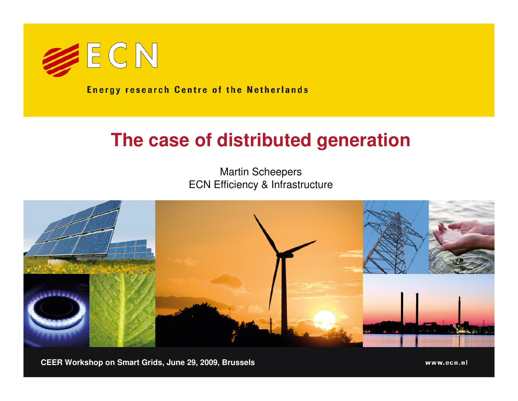

**Energy research Centre of the Netherlands** 

#### **The case of distributed generation**

Martin ScheepersECN Efficiency & Infrastructure



**CEER Workshop on Smart Grids, June 29, 2009, Brussels**

www.ecn.nl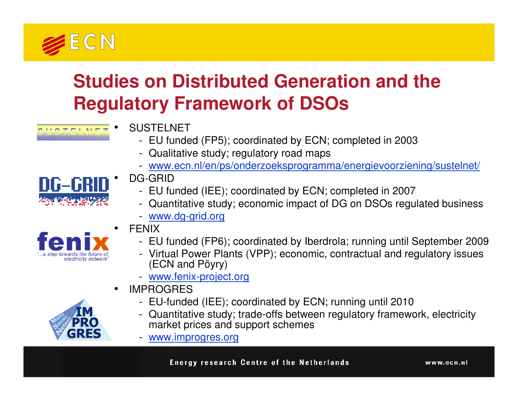

# **Studies on Distributed Generation and the Regulatory Framework of DSOs**

- **SUSTELNET** 
	- EU funded (FP5); coordinated by ECN; completed in 2003
	- Qualitative study; regulatory road maps
	- www.ecn.nl/en/ps/onderzoeksprogramma/energievoorziening/sustelnet/



DG-GRID

•

- EU funded (IEE); coordinated by ECN; completed in 2007
- Quantitative study; economic impact of DG on DSOs regulated business
- www.dg-grid.org



- **FFNIX** 
	- EU funded (FP6); coordinated by Iberdrola; running until September 2009
	- Virtual Power Plants (VPP); economic, contractual and regulatory issues (ECN and Pöyry)
	- www.fenix-project.org
- • IMPROGRES
	- EU-funded (IEE); coordinated by ECN; running until 2010
	- Quantitative study; trade-offs between regulatory framework, electricity market prices and support schemes
	- www.improgres.org



www.ecn.nl

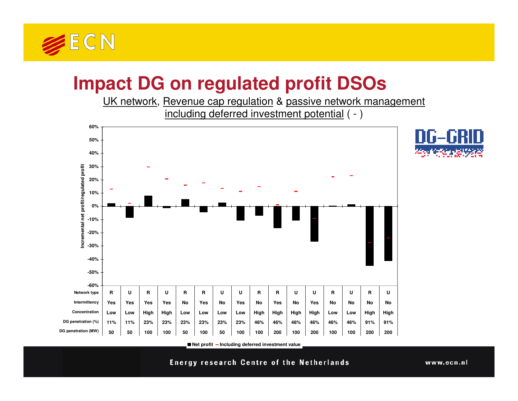

# **Impact DG on regulated profit DSOs**

 UK network, Revenue cap regulation & passive network management including deferred investment potential ( - )





**Net profit Including deferred investment value**

**Energy research Centre of the Netherlands**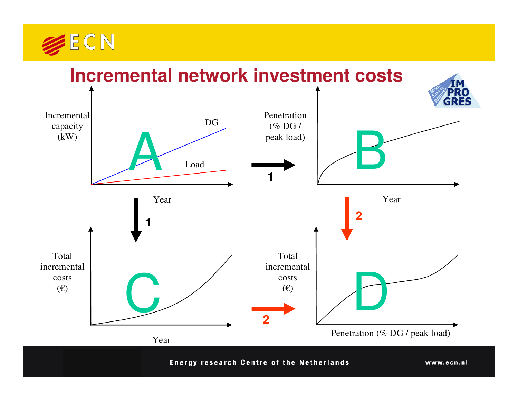

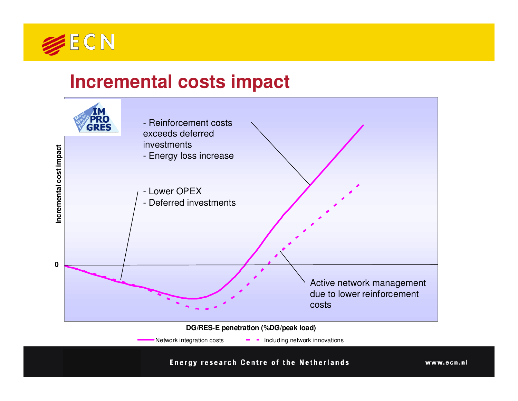

#### **Incremental costs impact**



**Energy research Centre of the Netherlands** 

www.ecn.nl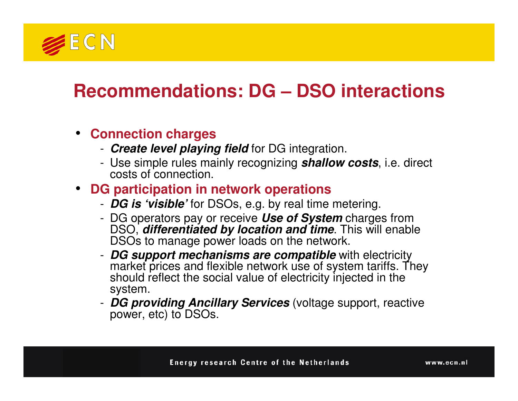

# **Recommendations: DG – DSO interactions**

#### • **Connection charges**

- **Create level playing field** for DG integration.
- Use simple rules mainly recognizing **shallow costs**, i.e. direct costs of connection.

#### • **DG participation in network operations**

- **DG is 'visible'** for DSOs, e.g. by real time metering.
- DG operators pay or receive **Use of System**DG operators pay or receive *Use of System* charges from<br>DSO, *differentiated by location and time*. This will enable DSOs to manage power loads on the network.
- -**DG support mechanisms are compatible** with electricity **market prices** and flowible patwork use of exctem text for The market prices and flexible network use of system tariffs. They should reflect the social value of electricity injected in the system.
- **DG providing Ancillary Services** (voltage support, reactive power, etc) to DSOs.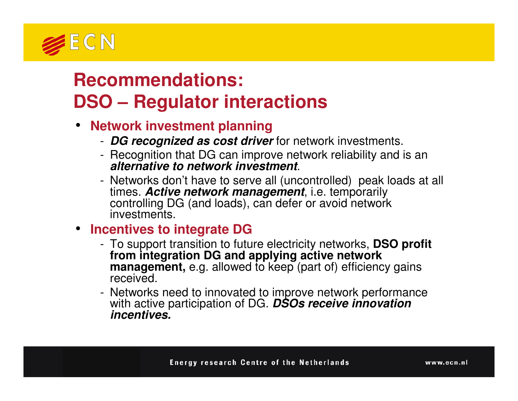

## **Recommendations: DSO – Regulator interactions**

- **Network investment planning**
	- **DG recognized as cost driver** for network investments.
	- Recognition that DG can improve network reliability and is an **alternative to network investment**.
	- Networks don't have to serve all (uncontrolled) peak loads at all times. **Active network management**, i.e. temporarily controlling DG (and loads), can defer or avoid network investments.
- **Incentives to integrate DG** 
	- To support transition to future electricity networks, **DSO profit from integration DG and applying active network management,** e.g. allowed to keep (part of) efficiency gains received.
	- Networks need to innovated to improve network performance with active participation of DG. **DSOs receive innovation incentives.**